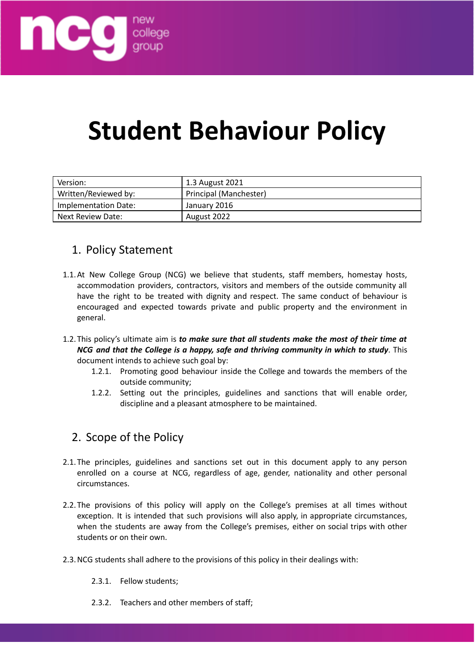

# **Student Behaviour Policy**

| Version:             | 1.3 August 2021        |
|----------------------|------------------------|
| Written/Reviewed by: | Principal (Manchester) |
| Implementation Date: | January 2016           |
| l Next Review Date:  | August 2022            |

#### 1. Policy Statement

- 1.1.At New College Group (NCG) we believe that students, staff members, homestay hosts, accommodation providers, contractors, visitors and members of the outside community all have the right to be treated with dignity and respect. The same conduct of behaviour is encouraged and expected towards private and public property and the environment in general.
- 1.2.This policy's ultimate aim is *to make sure that all students make the most of their time at NCG and that the College is a happy, safe and thriving community in which to study*. This document intends to achieve such goal by:
	- 1.2.1. Promoting good behaviour inside the College and towards the members of the outside community;
	- 1.2.2. Setting out the principles, guidelines and sanctions that will enable order, discipline and a pleasant atmosphere to be maintained.

## 2. Scope of the Policy

- 2.1.The principles, guidelines and sanctions set out in this document apply to any person enrolled on a course at NCG, regardless of age, gender, nationality and other personal circumstances.
- 2.2.The provisions of this policy will apply on the College's premises at all times without exception. It is intended that such provisions will also apply, in appropriate circumstances, when the students are away from the College's premises, either on social trips with other students or on their own.
- 2.3.NCG students shall adhere to the provisions of this policy in their dealings with:
	- 2.3.1. Fellow students;
	- 2.3.2. Teachers and other members of staff;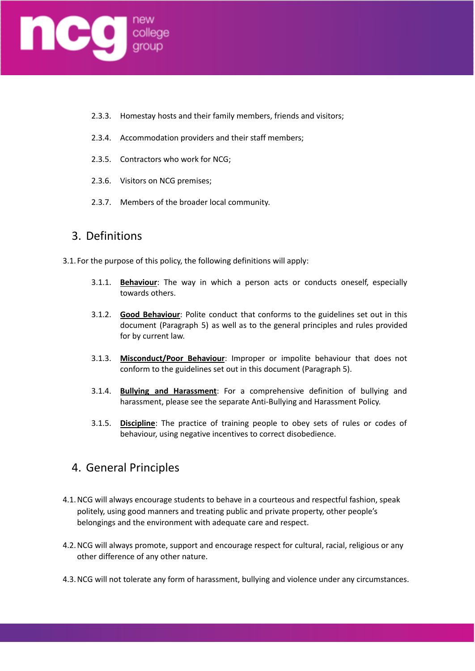

- 2.3.3. Homestay hosts and their family members, friends and visitors;
- 2.3.4. Accommodation providers and their staff members;
- 2.3.5. Contractors who work for NCG;
- 2.3.6. Visitors on NCG premises;
- 2.3.7. Members of the broader local community.

#### 3. Definitions

- 3.1. For the purpose of this policy, the following definitions will apply:
	- 3.1.1. **Behaviour**: The way in which a person acts or conducts oneself, especially towards others.
	- 3.1.2. **Good Behaviour**: Polite conduct that conforms to the guidelines set out in this document (Paragraph 5) as well as to the general principles and rules provided for by current law.
	- 3.1.3. **Misconduct/Poor Behaviour**: Improper or impolite behaviour that does not conform to the guidelines set out in this document (Paragraph 5).
	- 3.1.4. **Bullying and Harassment**: For a comprehensive definition of bullying and harassment, please see the separate Anti-Bullying and Harassment Policy.
	- 3.1.5. **Discipline**: The practice of training people to obey sets of rules or codes of behaviour, using negative incentives to correct disobedience.

#### 4. General Principles

- 4.1.NCG will always encourage students to behave in a courteous and respectful fashion, speak politely, using good manners and treating public and private property, other people's belongings and the environment with adequate care and respect.
- 4.2.NCG will always promote, support and encourage respect for cultural, racial, religious or any other difference of any other nature.
- 4.3.NCG will not tolerate any form of harassment, bullying and violence under any circumstances.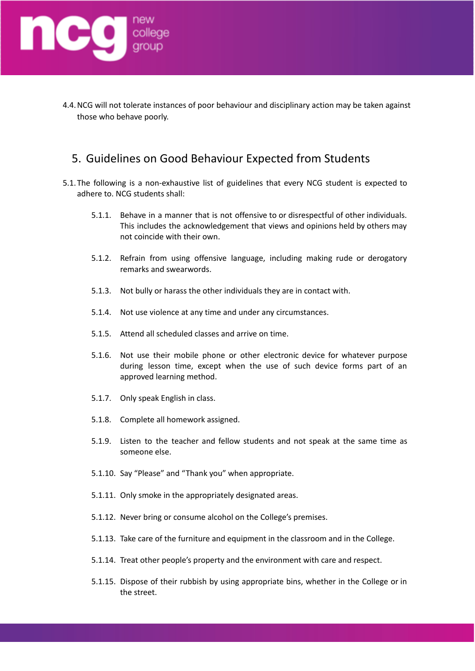

4.4.NCG will not tolerate instances of poor behaviour and disciplinary action may be taken against those who behave poorly.

#### 5. Guidelines on Good Behaviour Expected from Students

- 5.1.The following is a non-exhaustive list of guidelines that every NCG student is expected to adhere to. NCG students shall:
	- 5.1.1. Behave in a manner that is not offensive to or disrespectful of other individuals. This includes the acknowledgement that views and opinions held by others may not coincide with their own.
	- 5.1.2. Refrain from using offensive language, including making rude or derogatory remarks and swearwords.
	- 5.1.3. Not bully or harass the other individuals they are in contact with.
	- 5.1.4. Not use violence at any time and under any circumstances.
	- 5.1.5. Attend all scheduled classes and arrive on time.
	- 5.1.6. Not use their mobile phone or other electronic device for whatever purpose during lesson time, except when the use of such device forms part of an approved learning method.
	- 5.1.7. Only speak English in class.
	- 5.1.8. Complete all homework assigned.
	- 5.1.9. Listen to the teacher and fellow students and not speak at the same time as someone else.
	- 5.1.10. Say "Please" and "Thank you" when appropriate.
	- 5.1.11. Only smoke in the appropriately designated areas.
	- 5.1.12. Never bring or consume alcohol on the College's premises.
	- 5.1.13. Take care of the furniture and equipment in the classroom and in the College.
	- 5.1.14. Treat other people's property and the environment with care and respect.
	- 5.1.15. Dispose of their rubbish by using appropriate bins, whether in the College or in the street.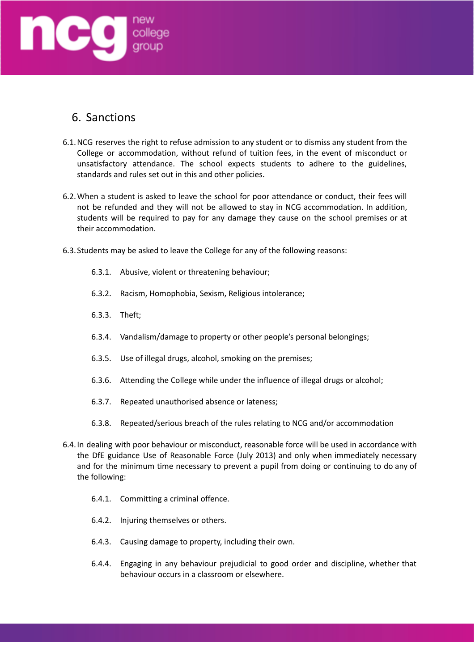

## 6. Sanctions

- 6.1.NCG reserves the right to refuse admission to any student or to dismiss any student from the College or accommodation, without refund of tuition fees, in the event of misconduct or unsatisfactory attendance. The school expects students to adhere to the guidelines, standards and rules set out in this and other policies.
- 6.2.When a student is asked to leave the school for poor attendance or conduct, their fees will not be refunded and they will not be allowed to stay in NCG accommodation. In addition, students will be required to pay for any damage they cause on the school premises or at their accommodation.
- 6.3. Students may be asked to leave the College for any of the following reasons:
	- 6.3.1. Abusive, violent or threatening behaviour;
	- 6.3.2. Racism, Homophobia, Sexism, Religious intolerance;
	- 6.3.3. Theft;
	- 6.3.4. Vandalism/damage to property or other people's personal belongings;
	- 6.3.5. Use of illegal drugs, alcohol, smoking on the premises;
	- 6.3.6. Attending the College while under the influence of illegal drugs or alcohol;
	- 6.3.7. Repeated unauthorised absence or lateness;
	- 6.3.8. Repeated/serious breach of the rules relating to NCG and/or accommodation
- 6.4.In dealing with poor behaviour or misconduct, reasonable force will be used in accordance with the DfE guidance Use of Reasonable Force (July 2013) and only when immediately necessary and for the minimum time necessary to prevent a pupil from doing or continuing to do any of the following:
	- 6.4.1. Committing a criminal offence.
	- 6.4.2. Injuring themselves or others.
	- 6.4.3. Causing damage to property, including their own.
	- 6.4.4. Engaging in any behaviour prejudicial to good order and discipline, whether that behaviour occurs in a classroom or elsewhere.